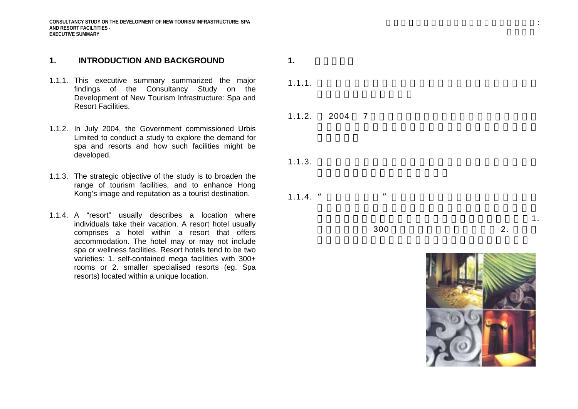#### **1. INTRODUCTION AND BACKGROUND**

- 1.1.1. This executive summary summarized the major findings of the Consultancy Study on the Development of New Tourism Infrastructure: Spa and Resort Facilities.
- 1.1.2. In July 2004, the Government commissioned Urbis Limited to conduct a study to explore the demand for spa and resorts and how such facilities might be developed.
- 1.1.3. The strategic objective of the study is to broaden the range of tourism facilities, and to enhance Hong Kong's image and reputation as a tourist destination.
- 1.1.4. A "resort" usually describes a location where individuals take their vacation. A resort hotel usually comprises a hotel within a resort that offers accommodation. The hotel may or may not include spa or wellness facilities. Resort hotels tend to be two varieties: 1. self-contained mega facilities with 300+ rooms or 2. smaller specialised resorts (eg. Spa resorts) located within a unique location.

1.1.1.

**1.** 引言和背景

 $1.1.2.$ 2004 7

1.1.3.

 $1.1.4.$  "

300 $\sim$  2. 1.

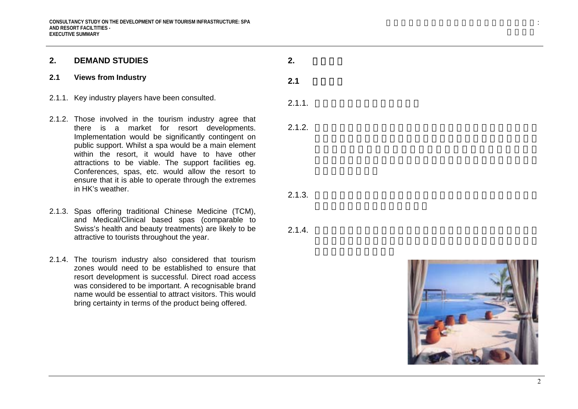#### **2. DEMAND STUDIES**

#### **2.1 Views from Industry**

- 2.1.1. Key industry players have been consulted.
- 2.1.2. Those involved in the tourism industry agree that there is a market for resort developments. Implementation would be significantly contingent on public support. Whilst a spa would be a main element within the resort, it would have to have other attractions to be viable. The support facilities eg. Conferences, spas, etc. would allow the resort to ensure that it is able to operate through the extremes in HK's weather.
- 2.1.3. Spas offering traditional Chinese Medicine (TCM), and Medical/Clinical based spas (comparable to Swiss's health and beauty treatments) are likely to be attractive to tourists throughout the year.
- 2.1.4. The tourism industry also considered that tourism zones would need to be established to ensure that resort development is successful. Direct road access was considered to be important. A recognisable brand name would be essential to attract visitors. This would bring certainty in terms of the product being offered.

2.1.1.

 $2.1$ 

 $2.$ 

2.1.2.

2.1.3.

2.1.4.

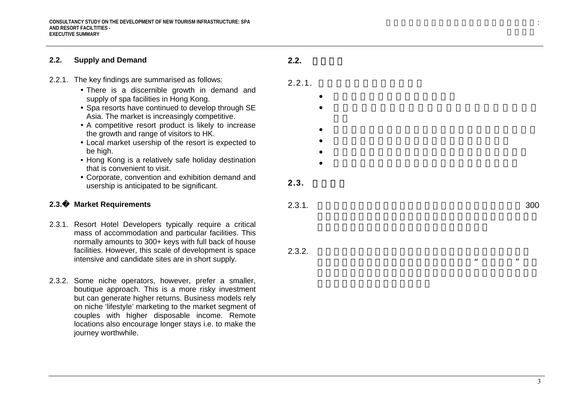#### **2.2. Supply and Demand**  2.2.1. The key findings are summarised as follows: • There is a discernible growth in demand and supply of spa facilities in Hong Kong. • Spa resorts have continued to develop through SE Asia. The market is increasingly competitive. • A competitive resort product is likely to increase the growth and range of visitors to HK. • Local market usership of the resort is expected to be high. • Hong Kong is a relatively safe holiday destination that is convenient to visit. • Corporate, convention and exhibition demand and usership is anticipated to be significant. **2.3.**� **Market Requirements**  2.3.1. Resort Hotel Developers typically require a critical mass of accommodation and particular facilities. This normally amounts to 300+ keys with full back of house facilities. However, this scale of development is space intensive and candidate sites are in short supply.  $2.2.$ 2.2.1. •••••• $2.3.$ 2.3.1. 3002.3.2.  $\frac{1}{2}$  , and  $\frac{1}{2}$  , and  $\frac{1}{2}$  , and  $\frac{1}{2}$  , and  $\frac{1}{2}$  , and  $\frac{1}{2}$  , and  $\frac{1}{2}$  , and  $\frac{1}{2}$  , and  $\frac{1}{2}$  , and  $\frac{1}{2}$  , and  $\frac{1}{2}$  , and  $\frac{1}{2}$  , and  $\frac{1}{2}$  , and  $\frac{1}{2}$  , a

2.3.2. Some niche operators, however, prefer a smaller, boutique approach. This is a more risky investment but can generate higher returns. Business models rely on niche 'lifestyle' marketing to the market segment of couples with higher disposable income. Remote locations also encourage longer stays i.e. to make the journey worthwhile.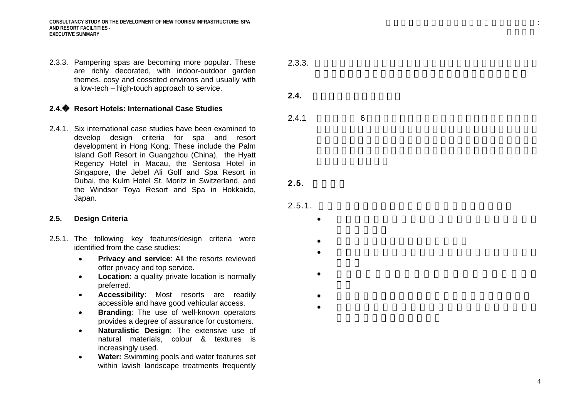2.3.3. Pampering spas are becoming more popular. These are richly decorated, with indoor-outdoor garden themes, cosy and cosseted environs and usually with a low-tech – high-touch approach to service.

2.3.3.

 $2.4.$ 

2.4.1

 $2.5.$ 

2.5.1.

•

••

•

•• 6

**2.4.**� **Resort Hotels: International Case Studies** 

2.4.1. Six international case studies have been examined to develop design criteria for spa and resort development in Hong Kong. These include the Palm Island Golf Resort in Guangzhou (China), the Hyatt Regency Hotel in Macau, the Sentosa Hotel in Singapore, the Jebel Ali Golf and Spa Resort in Dubai, the Kulm Hotel St. Moritz in Switzerland, and the Windsor Toya Resort and Spa in Hokkaido, Japan.

#### **2.5. Design Criteria**

- 2.5.1. The following key features/design criteria were identified from the case studies:
	- $\bullet$  **Privacy and service**: All the resorts reviewed offer privacy and top service.
	- • **Location**: a quality private location is normally preferred.
	- • **Accessibility**: Most resorts are readily accessible and have good vehicular access.
	- $\bullet$  **Branding**: The use of well-known operators provides a degree of assurance for customers.
	- • **Naturalistic Design**: The extensive use of natural materials, colour & textures is increasingly used.
	- • **Water:** Swimming pools and water features set within lavish landscape treatments frequently

:

4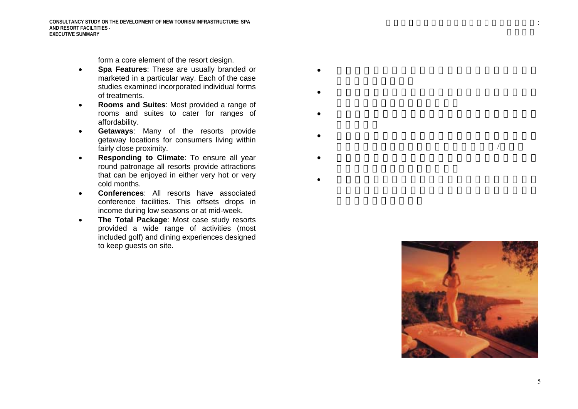form a core element of the resort design.

- • **Spa Features**: These are usually branded or marketed in a particular way. Each of the case studies examined incorporated individual forms of treatments.
- • **Rooms and Suites**: Most provided a range of rooms and suites to cater for ranges of affordability.
- • **Getaways**: Many of the resorts provide getaway locations for consumers living within fairly close proximity.
- • **Responding to Climate**: To ensure all year round patronage all resorts provide attractions that can be enjoyed in either very hot or very cold months.
- • **Conferences**: All resorts have associated conference facilities. This offsets drops in income during low seasons or at mid-week.
- • **The Total Package**: Most case study resorts provided a wide range of activities (most included golf) and dining experiences designed to keep guests on site.
- •
- •
- •
- •
- /
- •
- •



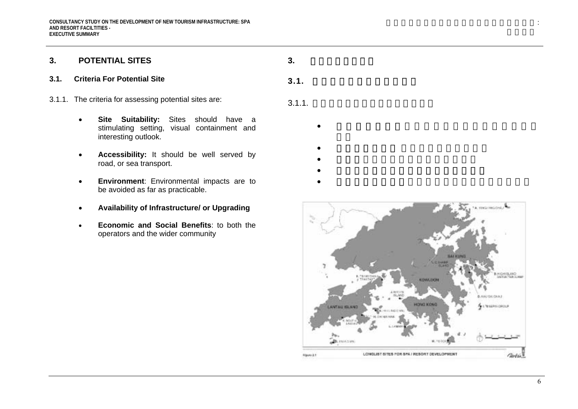## **3. POTENTIAL SITES**

#### **3.1. Criteria For Potential Site**

- 3.1.1. The criteria for assessing potential sites are:
	- • **Site Suitability:** Sites should have a stimulating setting, visual containment and interesting outlook.
	- • **Accessibility:** It should be well served by road, or sea transport.
	- • **Environment**: Environmental impacts are to be avoided as far as practicable.
	- •**Availability of Infrastructure/ or Upgrading**
	- • **Economic and Social Benefits**: to both the operators and the wider community

3.1.

# $3.1.1.$

**3.** 具發展潛力的地點

- •
- •
- •
- •
- •

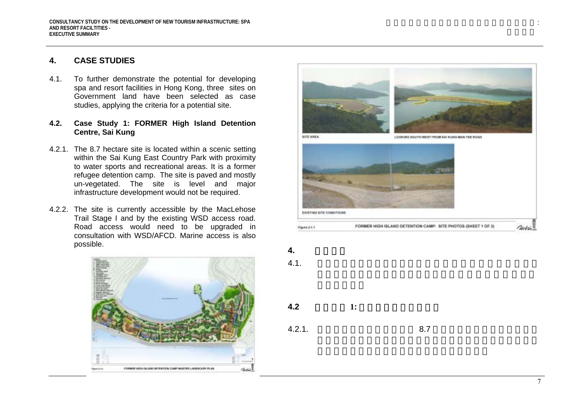# **4. CASE STUDIES**

4.1. To further demonstrate the potential for developing spa and resort facilities in Hong Kong, three sites on Government land have been selected as case studies, applying the criteria for a potential site.

### **4.2. Case Study 1: FORMER High Island Detention Centre, Sai Kung**

- 4.2.1. The 8.7 hectare site is located within a scenic setting within the Sai Kung East Country Park with proximity to water sports and recreational areas. It is a former refugee detention camp. The site is paved and mostly un-vegetated. The site is level and major infrastructure development would not be required.
- 4.2.2. The site is currently accessible by the MacLehose Trail Stage I and by the existing WSD access road. Road access would need to be upgraded in consultation with WSD/AFCD. Marine access is also possible. **4. 4.**





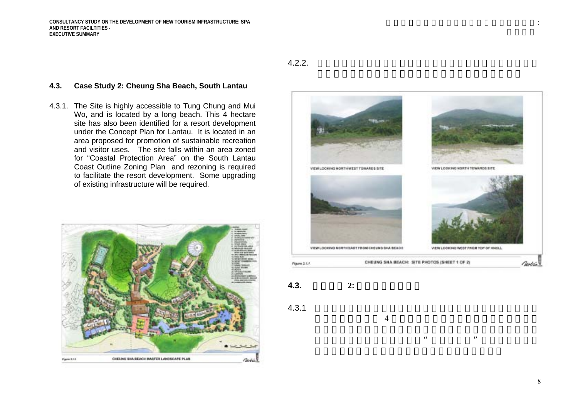# 4.2.2.

### **4.3. Case Study 2: Cheung Sha Beach, South Lantau**

4.3.1. The Site is highly accessible to Tung Chung and Mui Wo, and is located by a long beach. This 4 hectare site has also been identified for a resort development under the Concept Plan for Lantau. It is located in an area proposed for promotion of sustainable recreation and visitor uses. The site falls within an area zoned for "Coastal Protection Area" on the South Lantau Coast Outline Zoning Plan and rezoning is required to facilitate the resort development. Some upgrading of existing infrastructure will be required.



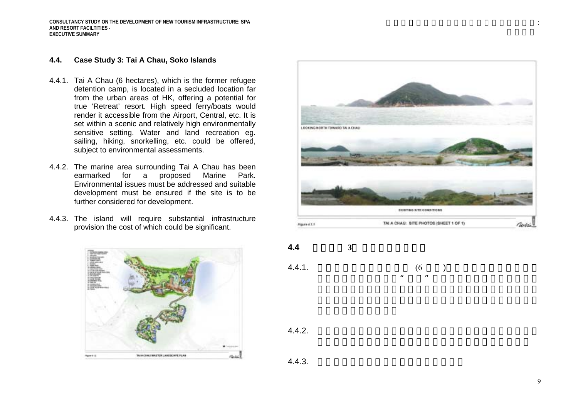### **4.4. Case Study 3: Tai A Chau, Soko Islands**

- 4.4.1. Tai A Chau (6 hectares), which is the former refugee detention camp, is located in a secluded location far from the urban areas of HK, offering a potential for true 'Retreat' resort. High speed ferry/boats would render it accessible from the Airport, Central, etc. It is set within a scenic and relatively high environmentally sensitive setting. Water and land recreation eg. sailing, hiking, snorkelling, etc. could be offered, subject to environmental assessments.
- 4.4.2. The marine area surrounding Tai A Chau has been earmarked for a proposed Marine Park. Environmental issues must be addressed and suitable development must be ensured if the site is to be further considered for development.
- 4.4.3. The island will require substantial infrastructure provision the cost of which could be significant.





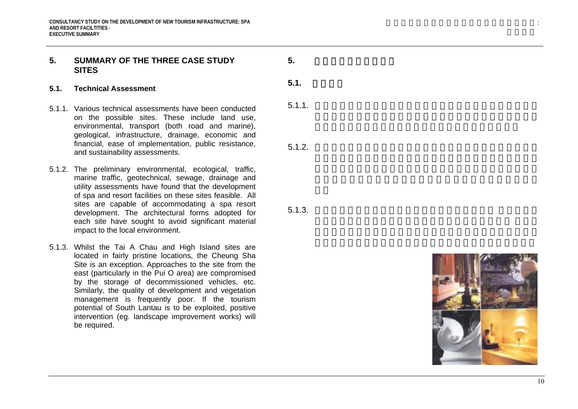# **5. SUMMARY OF THE THREE CASE STUDY SITES**

#### **5.1. Technical Assessment**

- 5.1.1. Various technical assessments have been conducted on the possible sites. These include land use, environmental, transport (both road and marine), geological, infrastructure, drainage, economic and financial, ease of implementation, public resistance, and sustainability assessments.
- 5.1.2. The preliminary environmental, ecological, traffic, marine traffic, geotechnical, sewage, drainage and utility assessments have found that the development of spa and resort facilities on these sites feasible. All sites are capable of accommodating a spa resort development. The architectural forms adopted for each site have sought to avoid significant material impact to the local environment.
- 5.1.3. Whilst the Tai A Chau and High Island sites are located in fairly pristine locations, the Cheung Sha Site is an exception. Approaches to the site from the east (particularly in the Pui O area) are compromised by the storage of decommissioned vehicles, etc. Similarly, the quality of development and vegetation management is frequently poor. If the tourism potential of South Lantau is to be exploited, positive intervention (eg. landscape improvement works) will be required.

**5.1.** 技術評估

**5.** 三個地點個案研究摘要

5.1.1.

5.1.2.

5.1.3.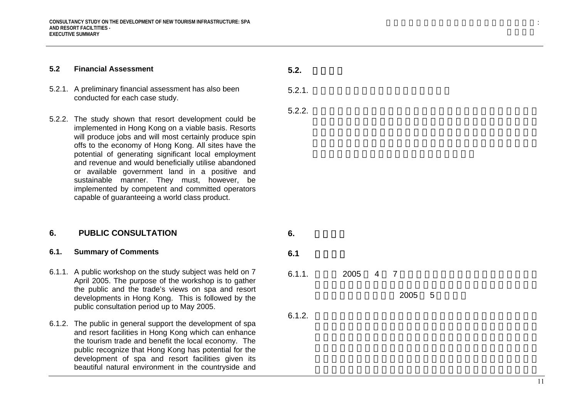#### **5.2Financial Assessment**

- 5.2.1. A preliminary financial assessment has also been conducted for each case study.
- 5.2.2. The study shown that resort development could be implemented in Hong Kong on a viable basis. Resorts will produce jobs and will most certainly produce spin offs to the economy of Hong Kong. All sites have the potential of generating significant local employment and revenue and would beneficially utilise abandoned or available government land in a positive and sustainable manner. They must, however, be implemented by competent and committed operators capable of guaranteeing a world class product.

#### **6. PUBLIC CONSULTATION**

#### **6.1. Summary of Comments**

- 6.1.1. A public workshop on the study subject was held on 7 April 2005. The purpose of the workshop is to gather the public and the trade's views on spa and resort developments in Hong Kong. This is followed by the public consultation period up to May 2005.
- 6.1.2. The public in general support the development of spa and resort facilities in Hong Kong which can enhance the tourism trade and benefit the local economy. The public recognize that Hong Kong has potential for the development of spa and resort facilities given its beautiful natural environment in the countryside and

**6.** 公眾諮詢**6.1** 意見摘要6.1.1. 200547200556.1.2.

**5.2.**

5.2.1.

5.2.2.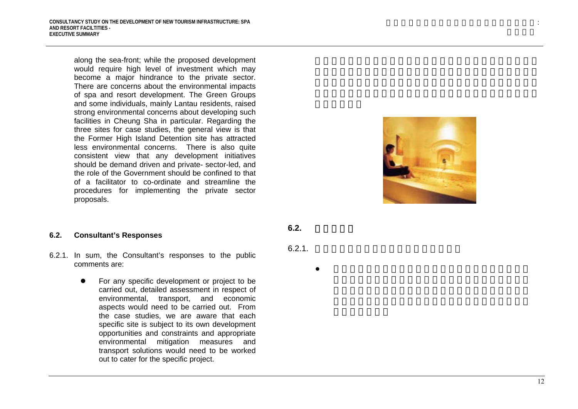along the sea-front; while the proposed development would require high level of investment which may become a major hindrance to the private sector. There are concerns about the environmental impacts of spa and resort development. The Green Groups and some individuals, mainly Lantau residents, raised strong environmental concerns about developing such facilities in Cheung Sha in particular. Regarding the three sites for case studies, the general view is that the Former High Island Detention site has attracted less environmental concerns. There is also quite consistent view that any development initiatives should be demand driven and private- sector-led, and the role of the Government should be confined to that of a facilitator to co-ordinate and streamline the procedures for implementing the private sector proposals.

#### **6.2. Consultant's Responses**

- 6.2.1. In sum, the Consultant's responses to the public comments are:
	- For any specific development or project to be carried out, detailed assessment in respect of environmental, transport, and economic aspects would need to be carried out. From the case studies, we are aware that each specific site is subject to its own development opportunities and constraints and appropriate environmental mitigation measures and transport solutions would need to be worked out to cater for the specific project.

**6.2.** 顧問的回應

6.2.1.

●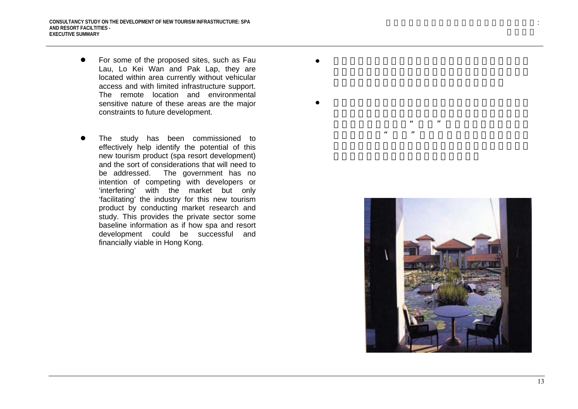• For some of the proposed sites, such as Fau Lau, Lo Kei Wan and Pak Lap, they are located within area currently without vehicular access and with limited infrastructure support. The remote location and environmental sensitive nature of these areas are the major constraints to future development.

●

●

The study has been commissioned to effectively help identify the potential of this new tourism product (spa resort development) and the sort of considerations that will need to be addressed. The government has no intention of competing with developers or 'interfering' with the market but only 'facilitating' the industry for this new tourism product by conducting market research and study. This provides the private sector some baseline information as if how spa and resort development could be successful and financially viable in Hong Kong.



 $\mu$ 

 $\frac{1}{2}$ ,  $\frac{1}{2}$ ,  $\frac{1}{2}$ ,  $\frac{1}{2}$ ,  $\frac{1}{2}$ ,  $\frac{1}{2}$ ,  $\frac{1}{2}$ ,  $\frac{1}{2}$ ,  $\frac{1}{2}$ ,  $\frac{1}{2}$ ,  $\frac{1}{2}$ ,  $\frac{1}{2}$ ,  $\frac{1}{2}$ ,  $\frac{1}{2}$ ,  $\frac{1}{2}$ ,  $\frac{1}{2}$ ,  $\frac{1}{2}$ ,  $\frac{1}{2}$ ,  $\frac{1}{2}$ ,  $\frac{1}{2}$ ,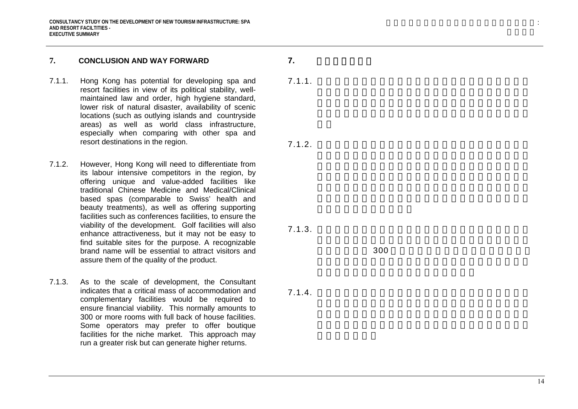#### **7.CONCLUSION AND WAY FORWARD**

- 7.1.1. Hong Kong has potential for developing spa and resort facilities in view of its political stability, wellmaintained law and order, high hygiene standard, lower risk of natural disaster, availability of scenic locations (such as outlying islands and countryside areas) as well as world class infrastructure, especially when comparing with other spa and resort destinations in the region.
- 7.1.2. However, Hong Kong will need to differentiate from its labour intensive competitors in the region, by offering unique and value-added facilities like traditional Chinese Medicine and Medical/Clinical based spas (comparable to Swiss' health and beauty treatments), as well as offering supporting facilities such as conferences facilities, to ensure the viability of the development. Golf facilities will also enhance attractiveness, but it may not be easy to find suitable sites for the purpose. A recognizable brand name will be essential to attract visitors and assure them of the quality of the product.
- 7.1.3. As to the scale of development, the Consultant indicates that a critical mass of accommodation and complementary facilities would be required to ensure financial viability. This normally amounts to 300 or more rooms with full back of house facilities. Some operators may prefer to offer boutique facilities for the niche market. This approach may run a greater risk but can generate higher returns.

7.1.1.

**7.** 結論及未來路向

7.1.2.

7.1.3.

300

7.1.4.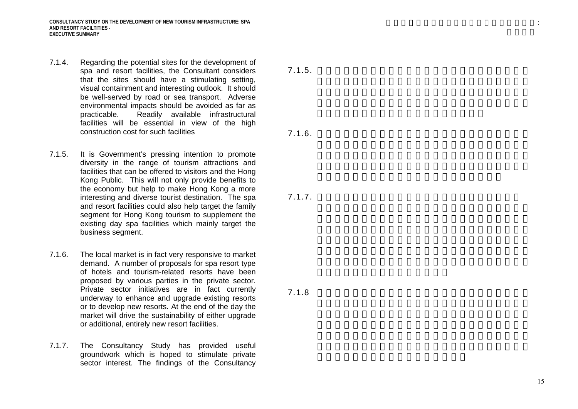- 7.1.4. Regarding the potential sites for the development of spa and resort facilities, the Consultant considers that the sites should have a stimulating setting, visual containment and interesting outlook. It should be well-served by road or sea transport. Adverse environmental impacts should be avoided as far as practicable. Readily available infrastructural facilities will be essential in view of the high construction cost for such facilities
- 7.1.5. It is Government's pressing intention to promote diversity in the range of tourism attractions and facilities that can be offered to visitors and the Hong Kong Public. This will not only provide benefits to the economy but help to make Hong Kong a more interesting and diverse tourist destination. The spa and resort facilities could also help target the family segment for Hong Kong tourism to supplement the existing day spa facilities which mainly target the business segment.
- 7.1.6. The local market is in fact very responsive to market demand. A number of proposals for spa resort type of hotels and tourism-related resorts have been proposed by various parties in the private sector. Private sector initiatives are in fact currently underway to enhance and upgrade existing resorts or to develop new resorts. At the end of the day the market will drive the sustainability of either upgrade or additional, entirely new resort facilities.
- 7.1.7. The Consultancy Study has provided useful groundwork which is hoped to stimulate private sector interest. The findings of the Consultancy

7.1.5.

7.1.6.

7.1.7.

7.1.8

15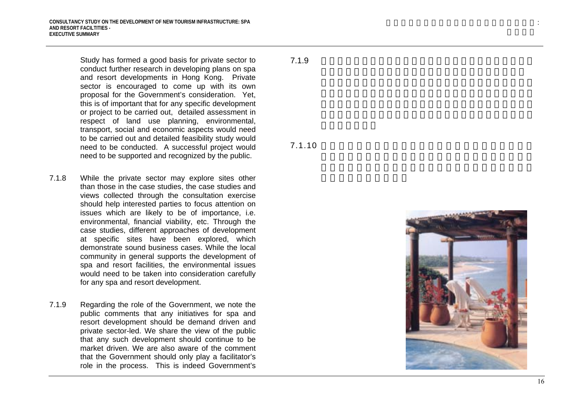Study has formed a good basis for private sector to conduct further research in developing plans on spa and resort developments in Hong Kong. Private sector is encouraged to come up with its own proposal for the Government's consideration. Yet, this is of important that for any specific development or project to be carried out, detailed assessment in respect of land use planning, environmental, transport, social and economic aspects would need to be carried out and detailed feasibility study would need to be conducted. A successful project would need to be supported and recognized by the public.

- 7.1.8 While the private sector may explore sites other than those in the case studies, the case studies and views collected through the consultation exercise should help interested parties to focus attention on issues which are likely to be of importance, i.e. environmental, financial viability, etc. Through the case studies, different approaches of development at specific sites have been explored, which demonstrate sound business cases. While the local community in general supports the development of spa and resort facilities, the environmental issues would need to be taken into consideration carefully for any spa and resort development.
- 7.1.9 Regarding the role of the Government, we note the public comments that any initiatives for spa and resort development should be demand driven and private sector-led. We share the view of the public that any such development should continue to be market driven. We are also aware of the comment that the Government should only play a facilitator's role in the process. This is indeed Government's

# 7.1.9

7.1.10